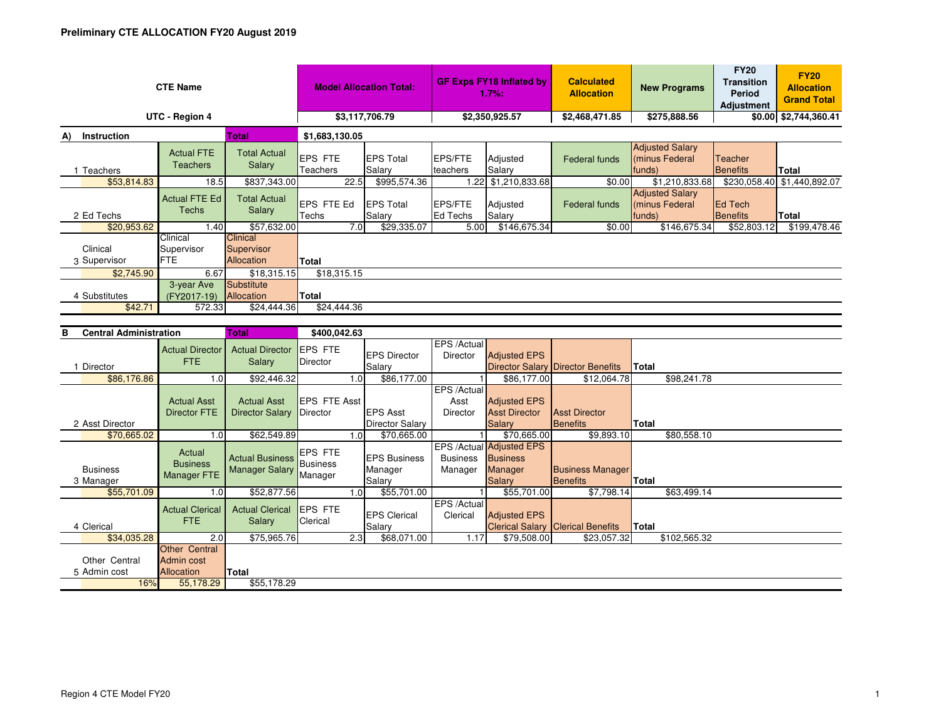| <b>CTE Name</b>          |                                      |                                                    | <b>Model Allocation Total:</b>    |                            | <b>GF Exps FY18 Inflated by</b><br>1.7%: |                     | <b>Calculated</b><br><b>Allocation</b> | <b>New Programs</b>                                | <b>FY20</b><br><b>Transition</b><br><b>Period</b><br><b>Adjustment</b> | <b>FY20</b><br><b>Allocation</b><br><b>Grand Total</b> |  |  |
|--------------------------|--------------------------------------|----------------------------------------------------|-----------------------------------|----------------------------|------------------------------------------|---------------------|----------------------------------------|----------------------------------------------------|------------------------------------------------------------------------|--------------------------------------------------------|--|--|
| UTC - Region 4           | \$3,117,706.79                       |                                                    | \$2,350,925.57                    |                            | \$2,468,471.85                           | \$275,888.56        |                                        | $$0.00$ $$2,744,360.41$                            |                                                                        |                                                        |  |  |
| Instruction<br>A)        |                                      | <b>Total</b>                                       | \$1,683,130.05                    |                            |                                          |                     |                                        |                                                    |                                                                        |                                                        |  |  |
| <b>Teachers</b>          | <b>Actual FTE</b><br><b>Teachers</b> | <b>Total Actual</b><br>Salary                      | <b>EPS FTE</b><br><b>Teachers</b> | <b>EPS Total</b><br>Salary | <b>EPS/FTE</b><br>teachers               | Adjusted<br>Salary  | <b>Federal funds</b>                   | <b>Adjusted Salary</b><br>(minus Federal<br>funds) | Teacher<br><b>Benefits</b>                                             | Total                                                  |  |  |
| \$53,814.83              | 18.5                                 | \$837,343.00                                       | 22.5                              | \$995,574.36               |                                          | 1.22 \$1,210,833.68 | \$0.00                                 | \$1,210,833.68                                     |                                                                        | \$230,058.40 \$1,440,892.07                            |  |  |
| 2 Ed Techs               | <b>Actual FTE Ed</b><br>Techs        | <b>Total Actual</b><br>Salary                      | <b>LEPS FTE Ed</b><br>Techs       | <b>EPS Total</b><br>Salary | <b>EPS/FTE</b><br>Ed Techs               | Adjusted<br>Salary  | Federal funds                          | <b>Adjusted Salary</b><br>Iminus Federal<br>funds) | <b>IEd Tech</b><br>Benefits                                            | Total                                                  |  |  |
| \$20,953.62              | 1.40                                 | \$57,632.00                                        | 7.0                               | \$29,335.07                | 5.00                                     | \$146,675.34        | \$0.00                                 | \$146,675.34                                       | \$52,803.12                                                            | \$199,478.46                                           |  |  |
| Clinical<br>3 Supervisor | Clinical<br>Supervisor<br><b>FTE</b> | <b>Clinical</b><br>Supervisor<br><b>Allocation</b> | <b>Total</b>                      |                            |                                          |                     |                                        |                                                    |                                                                        |                                                        |  |  |
| \$2,745.90               | 6.67                                 | \$18,315.15                                        | \$18,315.15                       |                            |                                          |                     |                                        |                                                    |                                                                        |                                                        |  |  |
| 4 Substitutes<br>\$42.71 | 3-year Ave<br>(FY2017-19)<br>572.33  | Substitute<br>Allocation<br>\$24,444.36            | <b>Total</b><br>\$24,444.36       |                            |                                          |                     |                                        |                                                    |                                                                        |                                                        |  |  |

| в<br><b>Central Administration</b> |                               | <b>Total</b>                                            | \$400,042.63                                 |                                       |                  |                                           |                                        |                                                                         |                                            |              |              |  |
|------------------------------------|-------------------------------|---------------------------------------------------------|----------------------------------------------|---------------------------------------|------------------|-------------------------------------------|----------------------------------------|-------------------------------------------------------------------------|--------------------------------------------|--------------|--------------|--|
|                                    | Director                      | <b>Actual Director</b><br>FTE.                          | <b>Actual Director</b><br><b>Salary</b>      | <b>EPS FTE</b><br>Director            |                  | <b>EPS Director</b><br>Salary             | EPS /Actual<br>Director                | <b>Adjusted EPS</b>                                                     | Director Salary Director Benefits          | <b>Total</b> |              |  |
|                                    | \$86,176.86                   | 1.0                                                     | \$92,446.32                                  |                                       | 1.0              | \$86,177.00                               |                                        | \$86,177.00                                                             | \$12,064.78                                |              | \$98,241.78  |  |
|                                    |                               | <b>Actual Asst</b><br><b>Director FTE</b>               | <b>Actual Asst</b><br><b>Director Salary</b> | EPS FTE Asst<br>Director              |                  | <b>EPS Asst</b>                           | EPS /Actual<br>Asst<br><b>Director</b> | <b>Adjusted EPS</b><br><b>Asst Director</b>                             | <b>Asst Director</b>                       |              |              |  |
|                                    | 2 Asst Director               |                                                         |                                              |                                       |                  | <b>Director Salary</b>                    |                                        | <b>Salary</b>                                                           | Benefits                                   | Total        |              |  |
|                                    | \$70,665.02                   | 1.0                                                     | \$62,549.89                                  |                                       | 1.0 <sub>l</sub> | \$70,665.00                               |                                        | \$70,665.00                                                             | \$9,893.10                                 |              | \$80,558.10  |  |
|                                    | <b>Business</b><br>3 Manager  | Actual<br><b>Business</b><br><b>Manager FTE</b>         | <b>Actual Business</b><br>Manager Salary     | <b>EPS FTE</b><br>Business<br>Manager |                  | <b>IEPS Business</b><br>Manager<br>Salary | <b>Business</b><br>Manager             | EPS /Actual Adjusted EPS<br><b>Business</b><br>Manager<br><b>Salary</b> | <b>Business Manager</b><br><b>Benefits</b> | <b>Total</b> |              |  |
|                                    | \$55,701.09                   | 1.0                                                     | \$52,877.56                                  |                                       | 1.0 <sub>l</sub> | \$55,701.00                               |                                        | \$55,701.00                                                             | \$7,798.14                                 |              | \$63,499.14  |  |
|                                    | 4 Clerical                    | <b>Actual Clerical</b><br>FTE.                          | <b>Actual Clerical</b><br>Salary             | <b>EPS FTE</b><br>Clerical            |                  | <b>IEPS Clerical</b><br>Salary            | EPS /Actual<br>Clerical                | <b>Adjusted EPS</b>                                                     | <b>Clerical Salary Clerical Benefits</b>   | Total        |              |  |
|                                    | \$34,035.28                   | 2.0                                                     | \$75,965.76                                  |                                       | 2.3              | \$68,071.00                               | 1.17                                   | \$79,508.00                                                             | \$23,057.32                                |              | \$102,565.32 |  |
|                                    | Other Central<br>5 Admin cost | <b>Other Central</b><br>Admin cost<br><b>Allocation</b> | Total                                        |                                       |                  |                                           |                                        |                                                                         |                                            |              |              |  |
|                                    | 16%                           | 55,178.29                                               | \$55,178.29                                  |                                       |                  |                                           |                                        |                                                                         |                                            |              |              |  |